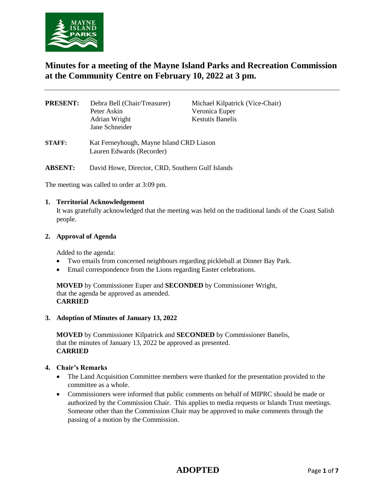

# **Minutes for a meeting of the Mayne Island Parks and Recreation Commission at the Community Centre on February 10, 2022 at 3 pm.**

| <b>PRESENT:</b> | Debra Bell (Chair/Treasurer)<br>Peter Askin<br>Adrian Wright<br>Jane Schneider | Michael Kilpatrick (Vice-Chair)<br>Veronica Euper<br><b>Kestutis Banelis</b> |  |
|-----------------|--------------------------------------------------------------------------------|------------------------------------------------------------------------------|--|
| <b>STAFF:</b>   | Kat Ferneyhough, Mayne Island CRD Liason<br>Lauren Edwards (Recorder)          |                                                                              |  |
| <b>ABSENT:</b>  | David Howe, Director, CRD, Southern Gulf Islands                               |                                                                              |  |

The meeting was called to order at 3:09 pm.

#### **1. Territorial Acknowledgement**

It was gratefully acknowledged that the meeting was held on the traditional lands of the Coast Salish people.

#### **2. Approval of Agenda**

Added to the agenda:

- Two emails from concerned neighbours regarding pickleball at Dinner Bay Park.
- Email correspondence from the Lions regarding Easter celebrations.

**MOVED** by Commissioner Euper and **SECONDED** by Commissioner Wright, that the agenda be approved as amended. **CARRIED**

#### **3. Adoption of Minutes of January 13, 2022**

**MOVED** by Commissioner Kilpatrick and **SECONDED** by Commissioner Banelis, that the minutes of January 13, 2022 be approved as presented. **CARRIED**

#### **4. Chair's Remarks**

- The Land Acquisition Committee members were thanked for the presentation provided to the committee as a whole.
- Commissioners were informed that public comments on behalf of MIPRC should be made or authorized by the Commission Chair. This applies to media requests or Islands Trust meetings. Someone other than the Commission Chair may be approved to make comments through the passing of a motion by the Commission.

# **ADOPTED** Page **1** of **7**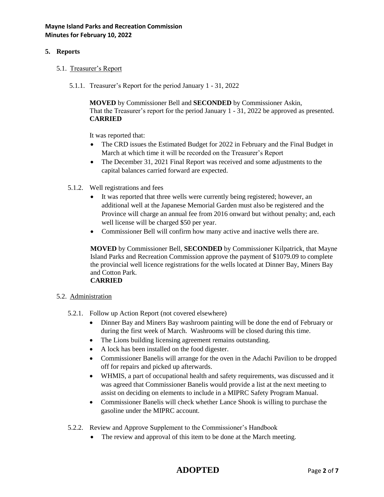# **5. Reports**

- 5.1. Treasurer's Report
	- 5.1.1. Treasurer's Report for the period January 1 31, 2022

**MOVED** by Commissioner Bell and **SECONDED** by Commissioner Askin, That the Treasurer's report for the period January 1 - 31, 2022 be approved as presented. **CARRIED**

It was reported that:

- The CRD issues the Estimated Budget for 2022 in February and the Final Budget in March at which time it will be recorded on the Treasurer's Report
- The December 31, 2021 Final Report was received and some adjustments to the capital balances carried forward are expected.
- 5.1.2. Well registrations and fees
	- It was reported that three wells were currently being registered; however, an additional well at the Japanese Memorial Garden must also be registered and the Province will charge an annual fee from 2016 onward but without penalty; and, each well license will be charged \$50 per year.
	- Commissioner Bell will confirm how many active and inactive wells there are.

**MOVED** by Commissioner Bell, **SECONDED** by Commissioner Kilpatrick, that Mayne Island Parks and Recreation Commission approve the payment of \$1079.09 to complete the provincial well licence registrations for the wells located at Dinner Bay, Miners Bay and Cotton Park.

# **CARRIED**

- 5.2. Administration
	- 5.2.1. Follow up Action Report (not covered elsewhere)
		- Dinner Bay and Miners Bay washroom painting will be done the end of February or during the first week of March. Washrooms will be closed during this time.
		- The Lions building licensing agreement remains outstanding.
		- A lock has been installed on the food digester.
		- Commissioner Banelis will arrange for the oven in the Adachi Pavilion to be dropped off for repairs and picked up afterwards.
		- WHMIS, a part of occupational health and safety requirements, was discussed and it was agreed that Commissioner Banelis would provide a list at the next meeting to assist on deciding on elements to include in a MIPRC Safety Program Manual.
		- Commissioner Banelis will check whether Lance Shook is willing to purchase the gasoline under the MIPRC account.
	- 5.2.2. Review and Approve Supplement to the Commissioner's Handbook
		- The review and approval of this item to be done at the March meeting.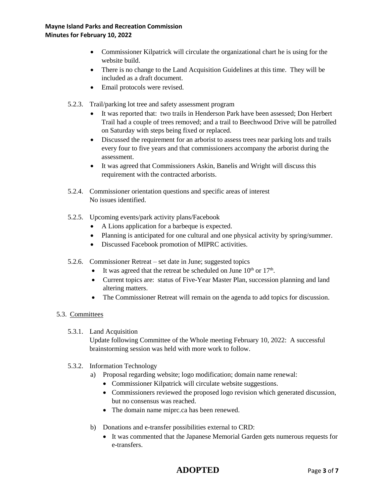- Commissioner Kilpatrick will circulate the organizational chart he is using for the website build.
- There is no change to the Land Acquisition Guidelines at this time. They will be included as a draft document.
- Email protocols were revised.
- 5.2.3. Trail/parking lot tree and safety assessment program
	- It was reported that: two trails in Henderson Park have been assessed; Don Herbert Trail had a couple of trees removed; and a trail to Beechwood Drive will be patrolled on Saturday with steps being fixed or replaced.
	- Discussed the requirement for an arborist to assess trees near parking lots and trails every four to five years and that commissioners accompany the arborist during the assessment.
	- It was agreed that Commissioners Askin, Banelis and Wright will discuss this requirement with the contracted arborists.
- 5.2.4. Commissioner orientation questions and specific areas of interest No issues identified.
- 5.2.5. Upcoming events/park activity plans/Facebook
	- A Lions application for a barbeque is expected.
	- Planning is anticipated for one cultural and one physical activity by spring/summer.
	- Discussed Facebook promotion of MIPRC activities.
- 5.2.6. Commissioner Retreat set date in June; suggested topics
	- It was agreed that the retreat be scheduled on June  $10^{th}$  or  $17^{th}$ .
	- Current topics are: status of Five-Year Master Plan, succession planning and land altering matters.
	- The Commissioner Retreat will remain on the agenda to add topics for discussion.
- 5.3. Committees
	- 5.3.1. Land Acquisition

Update following Committee of the Whole meeting February 10, 2022: A successful brainstorming session was held with more work to follow.

- 5.3.2. Information Technology
	- a) Proposal regarding website; logo modification; domain name renewal:
		- Commissioner Kilpatrick will circulate website suggestions.
		- Commissioners reviewed the proposed logo revision which generated discussion, but no consensus was reached.
		- The domain name miprc.ca has been renewed.
	- b) Donations and e-transfer possibilities external to CRD:
		- It was commented that the Japanese Memorial Garden gets numerous requests for e-transfers.

# **ADOPTED** Page **3** of **7**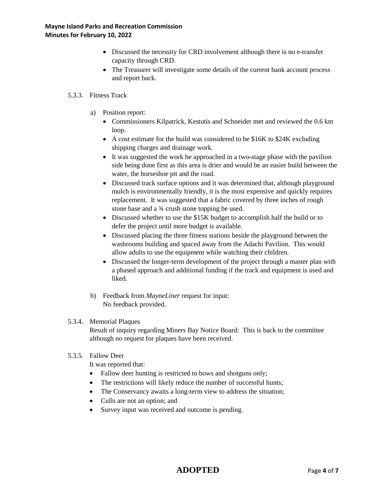- Discussed the necessity for CRD involvement although there is no e-transfer capacity through CRD.
- The Treasurer will investigate some details of the current bank account process and report back.

# 5.3.3. Fitness Track

- a) Position report:
	- Commissioners Kilpatrick, Kestutis and Schneider met and reviewed the 0.6 km loop.
	- A cost estimate for the build was considered to be \$16K to \$24K excluding shipping charges and drainage work.
	- It was suggested the work be approached in a two-stage phase with the pavilion side being done first as this area is drier and would be an easier build between the water, the horseshoe pit and the road.
	- Discussed track surface options and it was determined that, although playground mulch is environmentally friendly, it is the most expensive and quickly requires replacement. It was suggested that a fabric covered by three inches of rough stone base and a 3⁄4 crush stone topping be used.
	- Discussed whether to use the \$15K budget to accomplish half the build or to defer the project until more budget is available.
	- Discussed placing the three fitness stations beside the playground between the washrooms building and spaced away from the Adachi Pavilion. This would allow adults to use the equipment while watching their children.
	- Discussed the longer-term development of the project through a master plan with a phased approach and additional funding if the track and equipment is used and liked.
- b) Feedback from *MayneLiner* request for input: No feedback provided.

#### 5.3.4. Memorial Plaques

Result of inquiry regarding Miners Bay Notice Board: This is back to the committee although no request for plaques have been received.

# 5.3.5. Fallow Deer

It was reported that:

- Fallow deer hunting is restricted to bows and shotguns only;
- The restrictions will likely reduce the number of successful hunts;
- The Conservancy awaits a long-term view to address the situation;
- Culls are not an option; and
- Survey input was received and outcome is pending.

# **ADOPTED** Page **4** of **7**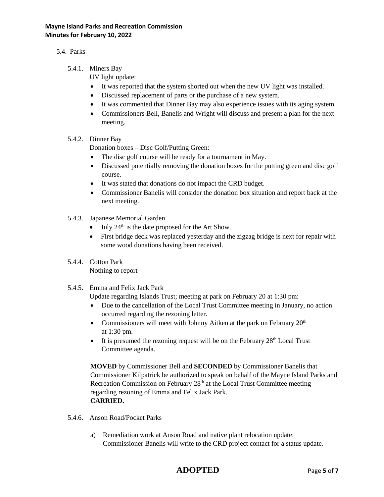### **Mayne Island Parks and Recreation Commission Minutes for February 10, 2022**

# 5.4. Parks

5.4.1. Miners Bay

UV light update:

- It was reported that the system shorted out when the new UV light was installed.
- Discussed replacement of parts or the purchase of a new system.
- It was commented that Dinner Bay may also experience issues with its aging system.
- Commissioners Bell, Banelis and Wright will discuss and present a plan for the next meeting.

## 5.4.2. Dinner Bay

Donation boxes – Disc Golf/Putting Green:

- The disc golf course will be ready for a tournament in May.
- Discussed potentially removing the donation boxes for the putting green and disc golf course.
- It was stated that donations do not impact the CRD budget.
- Commissioner Banelis will consider the donation box situation and report back at the next meeting.
- 5.4.3. Japanese Memorial Garden
	- $\bullet$  July 24<sup>th</sup> is the date proposed for the Art Show.
	- First bridge deck was replaced yesterday and the zigzag bridge is next for repair with some wood donations having been received.
- 5.4.4. Cotton Park Nothing to report
- 5.4.5. Emma and Felix Jack Park

Update regarding Islands Trust; meeting at park on February 20 at 1:30 pm:

- Due to the cancellation of the Local Trust Committee meeting in January, no action occurred regarding the rezoning letter.
- Commissioners will meet with Johnny Aitken at the park on February  $20<sup>th</sup>$ at 1:30 pm.
- $\bullet$  It is presumed the rezoning request will be on the February 28<sup>th</sup> Local Trust Committee agenda.

**MOVED** by Commissioner Bell and **SECONDED** by Commissioner Banelis that Commissioner Kilpatrick be authorized to speak on behalf of the Mayne Island Parks and Recreation Commission on February 28<sup>th</sup> at the Local Trust Committee meeting regarding rezoning of Emma and Felix Jack Park. **CARRIED.**

- 5.4.6. Anson Road/Pocket Parks
	- a) Remediation work at Anson Road and native plant relocation update: Commissioner Banelis will write to the CRD project contact for a status update.

# **ADOPTED** Page **5** of **7**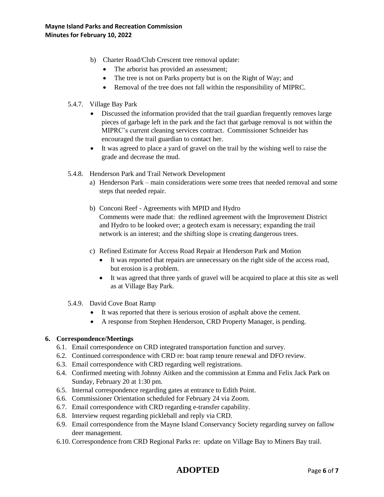- b) Charter Road/Club Crescent tree removal update:
	- The arborist has provided an assessment;
	- The tree is not on Parks property but is on the Right of Way; and
	- Removal of the tree does not fall within the responsibility of MIPRC.
- 5.4.7. Village Bay Park
	- Discussed the information provided that the trail guardian frequently removes large pieces of garbage left in the park and the fact that garbage removal is not within the MIPRC's current cleaning services contract. Commissioner Schneider has encouraged the trail guardian to contact her.
	- It was agreed to place a yard of gravel on the trail by the wishing well to raise the grade and decrease the mud.
- 5.4.8. Henderson Park and Trail Network Development
	- a) Henderson Park main considerations were some trees that needed removal and some steps that needed repair.
	- b) Conconi Reef Agreements with MPID and Hydro Comments were made that: the redlined agreement with the Improvement District and Hydro to be looked over; a geotech exam is necessary; expanding the trail network is an interest; and the shifting slope is creating dangerous trees.
	- c) Refined Estimate for Access Road Repair at Henderson Park and Motion
		- It was reported that repairs are unnecessary on the right side of the access road, but erosion is a problem.
		- It was agreed that three yards of gravel will be acquired to place at this site as well as at Village Bay Park.
- 5.4.9. David Cove Boat Ramp
	- It was reported that there is serious erosion of asphalt above the cement.
	- A response from Stephen Henderson, CRD Property Manager, is pending.

# **6. Correspondence/Meetings**

- 6.1. Email correspondence on CRD integrated transportation function and survey.
- 6.2. Continued correspondence with CRD re: boat ramp tenure renewal and DFO review.
- 6.3. Email correspondence with CRD regarding well registrations.
- 6.4. Confirmed meeting with Johnny Aitken and the commission at Emma and Felix Jack Park on Sunday, February 20 at 1:30 pm.
- 6.5. Internal correspondence regarding gates at entrance to Edith Point.
- 6.6. Commissioner Orientation scheduled for February 24 via Zoom.
- 6.7. Email correspondence with CRD regarding e-transfer capability.
- 6.8. Interview request regarding pickleball and reply via CRD.
- 6.9. Email correspondence from the Mayne Island Conservancy Society regarding survey on fallow deer management.
- 6.10. Correspondence from CRD Regional Parks re: update on Village Bay to Miners Bay trail.